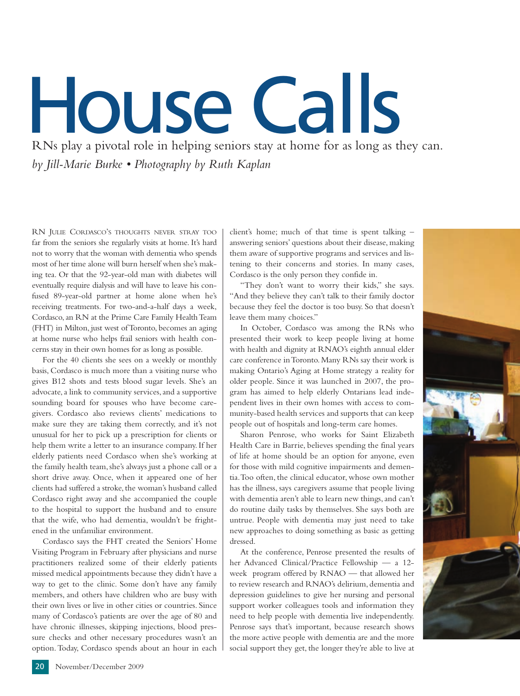House Calls RNs play a pivotal role in helping seniors stay at home for as long as they can. *by Jill-Marie Burke • Photography by Ruth Kaplan*

RN JULIE CORDASCO'S THOUGHTS NEVER STRAY TOO far from the seniors she regularly visits at home. It's hard not to worry that the woman with dementia who spends most of her time alone will burn herself when she's making tea. Or that the 92-year-old man with diabetes will eventually require dialysis and will have to leave his confused 89-year-old partner at home alone when he's receiving treatments. For two-and-a-half days a week, Cordasco, an RN at the Prime Care Family Health Team (FHT) in Milton, just west of Toronto, becomes an aging at home nurse who helps frail seniors with health concerns stay in their own homes for as long as possible.

For the 40 clients she sees on a weekly or monthly basis, Cordasco is much more than a visiting nurse who gives B12 shots and tests blood sugar levels. She's an advocate,a link to community services, and a supportive sounding board for spouses who have become caregivers. Cordasco also reviews clients' medications to make sure they are taking them correctly, and it's not unusual for her to pick up a prescription for clients or help them write a letter to an insurance company. If her elderly patients need Cordasco when she's working at the family health team, she's always just a phone call or a short drive away. Once, when it appeared one of her clients had suffered a stroke, the woman's husband called Cordasco right away and she accompanied the couple to the hospital to support the husband and to ensure that the wife, who had dementia, wouldn't be frightened in the unfamiliar environment.

Cordasco says the FHT created the Seniors' Home Visiting Program in February after physicians and nurse practitioners realized some of their elderly patients missed medical appointments because they didn't have a way to get to the clinic. Some don't have any family members, and others have children who are busy with their own lives or live in other cities or countries. Since many of Cordasco's patients are over the age of 80 and have chronic illnesses, skipping injections, blood pressure checks and other necessary procedures wasn't an option. Today, Cordasco spends about an hour in each

client's home; much of that time is spent talking – answering seniors' questions about their disease, making them aware of supportive programs and services and listening to their concerns and stories. In many cases, Cordasco is the only person they confide in.

"They don't want to worry their kids," she says. "And they believe they can't talk to their family doctor because they feel the doctor is too busy. So that doesn't leave them many choices."

In October, Cordasco was among the RNs who presented their work to keep people living at home with health and dignity at RNAO's eighth annual elder care conference in Toronto. Many RNs say their work is making Ontario's Aging at Home strategy a reality for older people. Since it was launched in 2007, the program has aimed to help elderly Ontarians lead independent lives in their own homes with access to community-based health services and supports that can keep people out of hospitals and long-term care homes.

Sharon Penrose, who works for Saint Elizabeth Health Care in Barrie, believes spending the final years of life at home should be an option for anyone, even for those with mild cognitive impairments and dementia.Too often, the clinical educator, whose own mother has the illness, says caregivers assume that people living with dementia aren't able to learn new things, and can't do routine daily tasks by themselves. She says both are untrue. People with dementia may just need to take new approaches to doing something as basic as getting dressed.

At the conference, Penrose presented the results of her Advanced Clinical/Practice Fellowship — a 12 week program offered by RNAO — that allowed her to review research and RNAO's delirium, dementia and depression guidelines to give her nursing and personal support worker colleagues tools and information they need to help people with dementia live independently. Penrose says that's important, because research shows the more active people with dementia are and the more social support they get, the longer they're able to live at

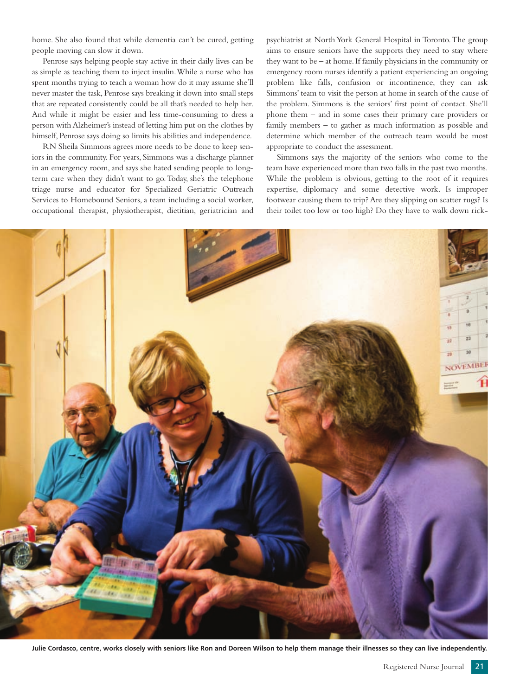home. She also found that while dementia can't be cured, getting people moving can slow it down.

Penrose says helping people stay active in their daily lives can be as simple as teaching them to inject insulin.While a nurse who has spent months trying to teach a woman how do it may assume she'll never master the task, Penrose says breaking it down into small steps that are repeated consistently could be all that's needed to help her. And while it might be easier and less time-consuming to dress a person with Alzheimer's instead of letting him put on the clothes by himself, Penrose says doing so limits his abilities and independence.

RN Sheila Simmons agrees more needs to be done to keep seniors in the community. For years, Simmons was a discharge planner in an emergency room, and says she hated sending people to longterm care when they didn't want to go.Today, she's the telephone triage nurse and educator for Specialized Geriatric Outreach Services to Homebound Seniors, a team including a social worker, occupational therapist, physiotherapist, dietitian, geriatrician and psychiatrist at North York General Hospital in Toronto.The group aims to ensure seniors have the supports they need to stay where they want to be – at home.If family physicians in the community or emergency room nurses identify a patient experiencing an ongoing problem like falls, confusion or incontinence, they can ask Simmons' team to visit the person at home in search of the cause of the problem. Simmons is the seniors' first point of contact. She'll phone them – and in some cases their primary care providers or family members – to gather as much information as possible and determine which member of the outreach team would be most appropriate to conduct the assessment.

Simmons says the majority of the seniors who come to the team have experienced more than two falls in the past two months. While the problem is obvious, getting to the root of it requires expertise, diplomacy and some detective work. Is improper footwear causing them to trip? Are they slipping on scatter rugs? Is their toilet too low or too high? Do they have to walk down rick-



**Julie Cordasco, centre, works closely with seniors like Ron and Doreen Wilson to help them manage their illnesses so they can live independently.**